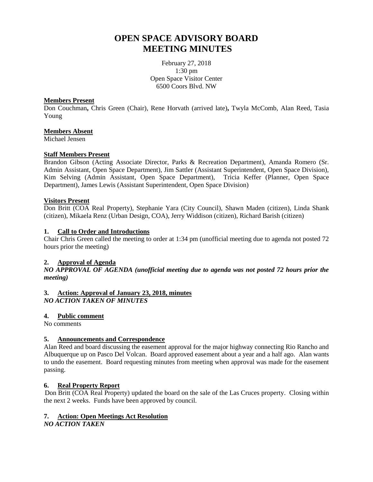# **OPEN SPACE ADVISORY BOARD MEETING MINUTES**

February 27, 2018 1:30 pm Open Space Visitor Center 6500 Coors Blvd. NW

#### **Members Present**

Don Couchman**,** Chris Green (Chair), Rene Horvath (arrived late)**,** Twyla McComb, Alan Reed, Tasia Young

#### **Members Absent**

Michael Jensen

#### **Staff Members Present**

Brandon Gibson (Acting Associate Director, Parks & Recreation Department), Amanda Romero (Sr. Admin Assistant, Open Space Department), Jim Sattler (Assistant Superintendent, Open Space Division), Kim Selving (Admin Assistant, Open Space Department), Tricia Keffer (Planner, Open Space Department), James Lewis (Assistant Superintendent, Open Space Division)

#### **Visitors Present**

Don Britt (COA Real Property), Stephanie Yara (City Council), Shawn Maden (citizen), Linda Shank (citizen), Mikaela Renz (Urban Design, COA), Jerry Widdison (citizen), Richard Barish (citizen)

#### **1. Call to Order and Introductions**

Chair Chris Green called the meeting to order at 1:34 pm (unofficial meeting due to agenda not posted 72 hours prior the meeting)

#### **2. Approval of Agenda**

*NO APPROVAL OF AGENDA (unofficial meeting due to agenda was not posted 72 hours prior the meeting)*

#### **3. Action: Approval of January 23, 2018, minutes** *NO ACTION TAKEN OF MINUTES*

#### **4. Public comment**

No comments

#### **5. Announcements and Correspondence**

Alan Reed and board discussing the easement approval for the major highway connecting Rio Rancho and Albuquerque up on Pasco Del Volcan. Board approved easement about a year and a half ago. Alan wants to undo the easement. Board requesting minutes from meeting when approval was made for the easement passing.

#### **6. Real Property Report**

Don Britt (COA Real Property) updated the board on the sale of the Las Cruces property. Closing within the next 2 weeks. Funds have been approved by council.

#### **7. Action: Open Meetings Act Resolution**

*NO ACTION TAKEN*